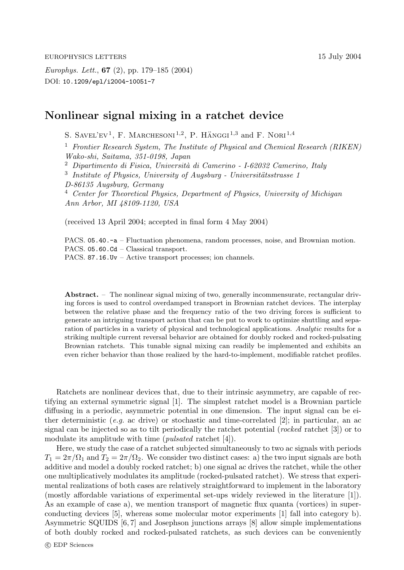*Europhys. Lett.*, **67** (2), pp. 179–185 (2004) DOI: 10.1209/epl/i2004-10051-7

## **Nonlinear signal mixing in a ratchet device**

S. SAVEL'EV<sup>1</sup>, F. MARCHESONI<sup>1,2</sup>, P. HÄNGGI<sup>1,3</sup> and F. NORI<sup>1,4</sup>

<sup>1</sup> *Frontier Research System, The Institute of Physical and Chemical Research (RIKEN) Wako-shi, Saitama, 351-0198, Japan*

<sup>2</sup> Dipartimento di Fisica, Università di Camerino - I-62032 Camerino, Italy

<sup>3</sup> Institute of Physics, University of Augsburg - Universitätsstrasse 1 *D-86135 Augsburg, Germany* <sup>4</sup> *Center for Theoretical Physics, Department of Physics, University of Michigan Ann Arbor, MI 48109-1120, USA*

(received 13 April 2004; accepted in final form 4 May 2004)

PACS. 05.40. $-a$  – Fluctuation phenomena, random processes, noise, and Brownian motion. PACS. 05.60.Cd – Classical transport.

PACS. 87.16.Uv – Active transport processes; ion channels.

**Abstract.** – The nonlinear signal mixing of two, generally incommensurate, rectangular driving forces is used to control overdamped transport in Brownian ratchet devices. The interplay between the relative phase and the frequency ratio of the two driving forces is sufficient to generate an intriguing transport action that can be put to work to optimize shuttling and separation of particles in a variety of physical and technological applications. *Analytic* results for a striking multiple current reversal behavior are obtained for doubly rocked and rocked-pulsating Brownian ratchets. This tunable signal mixing can readily be implemented and exhibits an even richer behavior than those realized by the hard-to-implement, modifiable ratchet profiles.

Ratchets are nonlinear devices that, due to their intrinsic asymmetry, are capable of rectifying an external symmetric signal [1]. The simplest ratchet model is a Brownian particle diffusing in a periodic, asymmetric potential in one dimension. The input signal can be either deterministic (*e.g.* ac drive) or stochastic and time-correlated [2]; in particular, an ac signal can be injected so as to tilt periodically the ratchet potential (*rocked* ratchet [3]) or to modulate its amplitude with time (*pulsated* ratchet [4]).

Here, we study the case of a ratchet subjected simultaneously to two ac signals with periods  $T_1 = 2\pi/\Omega_1$  and  $T_2 = 2\pi/\Omega_2$ . We consider two distinct cases: a) the two input signals are both additive and model a doubly rocked ratchet; b) one signal ac drives the ratchet, while the other one multiplicatively modulates its amplitude (rocked-pulsated ratchet). We stress that experimental realizations of both cases are relatively straightforward to implement in the laboratory (mostly affordable variations of experimental set-ups widely reviewed in the literature  $[1]$ ). As an example of case a), we mention transport of magnetic flux quanta (vortices) in superconducting devices [5], whereas some molecular motor experiments [1] fall into category b). Asymmetric SQUIDS [6, 7] and Josephson junctions arrays [8] allow simple implementations of both doubly rocked and rocked-pulsated ratchets, as such devices can be conveniently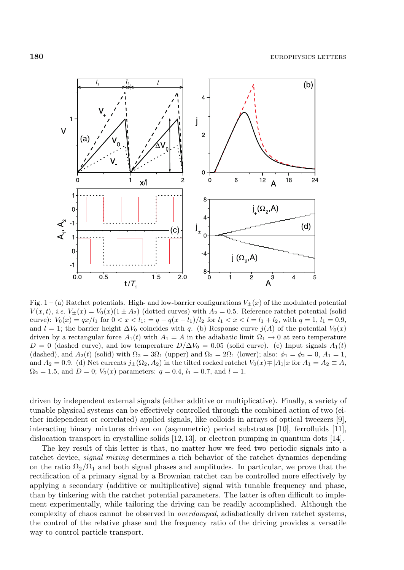

Fig. 1 – (a) Ratchet potentials. High- and low-barrier configurations  $V_{\pm}(x)$  of the modulated potential  $V(x, t)$ , *i.e.*  $V_{\pm}(x) = V_0(x)(1 \pm A_2)$  (dotted curves) with  $A_2 = 0.5$ . Reference ratchet potential (solid curve):  $V_0(x) = qx/l_1$  for  $0 < x < l_1$ ;  $= q - q(x - l_1)/l_2$  for  $l_1 < x < l = l_1 + l_2$ , with  $q = 1, l_1 = 0.9$ , and  $l = 1$ ; the barrier height  $\Delta V_0$  coincides with q. (b) Response curve  $j(A)$  of the potential  $V_0(x)$ driven by a rectangular force  $A_1(t)$  with  $A_1 = A$  in the adiabatic limit  $\Omega_1 \to 0$  at zero temperature  $D = 0$  (dashed curve), and low temperature  $D/\Delta V_0 = 0.05$  (solid curve). (c) Input signals  $A_1(t)$ (dashed), and  $A_2(t)$  (solid) with  $\Omega_2 = 3\Omega_1$  (upper) and  $\Omega_2 = 2\Omega_1$  (lower); also:  $\phi_1 = \phi_2 = 0$ ,  $A_1 = 1$ , and  $A_2 = 0.9$ . (d) Net currents  $j_{\pm}(\Omega_2, A_2)$  in the tilted rocked ratchet  $V_0(x) \mp |A_1|x$  for  $A_1 = A_2 \equiv A$ ,  $\Omega_2 = 1.5$ , and  $D = 0$ ;  $V_0(x)$  parameters:  $q = 0.4$ ,  $l_1 = 0.7$ , and  $l = 1$ .

driven by independent external signals (either additive or multiplicative). Finally, a variety of tunable physical systems can be effectively controlled through the combined action oftwo (either independent or correlated) applied signals, like colloids in arrays of optical tweezers  $[9]$ , interacting binary mixtures driven on (asymmetric) period substrates [10], ferrofluids [11], dislocation transport in crystalline solids [12, 13], or electron pumping in quantum dots [14].

The key result of this letter is that, no matter how we feed two periodic signals into a ratchet device, *signal mixing* determines a rich behavior of the ratchet dynamics depending on the ratio  $\Omega_2/\Omega_1$  and both signal phases and amplitudes. In particular, we prove that the rectification of a primary signal by a Brownian ratchet can be controlled more effectively by applying a secondary (additive or multiplicative) signal with tunable frequency and phase, than by tinkering with the ratchet potential parameters. The latter is often difficult to implement experimentally, while tailoring the driving can be readily accomplished. Although the complexity of chaos cannot be observed in *overdamped*, adiabatically driven ratchet systems, the control of the relative phase and the frequency ratio of the driving provides a versatile way to control particle transport.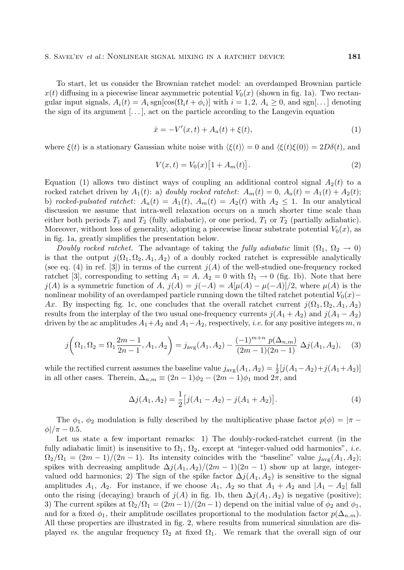To start, let us consider the Brownian ratchet model: an overdamped Brownian particle  $x(t)$  diffusing in a piecewise linear asymmetric potential  $V_0(x)$  (shown in fig. 1a). Two rectangular input signals,  $A_i(t) = A_i$  sgn $[\cos(\Omega_i t + \phi_i)]$  with  $i = 1, 2, A_i \geq 0$ , and sgn[...] denoting the sign of its argument  $[\ldots]$ , act on the particle according to the Langevin equation

$$
\dot{x} = -V'(x, t) + A_a(t) + \xi(t),\tag{1}
$$

where  $\xi(t)$  is a stationary Gaussian white noise with  $\langle \xi(t) \rangle = 0$  and  $\langle \xi(t) \xi(0) \rangle = 2D\delta(t)$ , and

$$
V(x,t) = V_0(x) \left[ 1 + A_m(t) \right].
$$
 (2)

Equation (1) allows two distinct ways of coupling an additional control signal  $A_2(t)$  to a rocked ratchet driven by  $A_1(t)$ : a) *doubly rocked ratchet*:  $A_m(t) = 0$ ,  $A_a(t) = A_1(t) + A_2(t)$ ; b) *rocked-pulsated ratchet:*  $A_a(t) = A_1(t), A_m(t) = A_2(t)$  with  $A_2 \leq 1$ . In our analytical discussion we assume that intra-well relaxation occurs on a much shorter time scale than either both periods  $T_1$  and  $T_2$  (fully adiabatic), or one period,  $T_1$  or  $T_2$  (partially adiabatic). Moreover, without loss of generality, adopting a piecewise linear substrate potential  $V_0(x)$ , as in fig. 1a, greatly simplifies the presentation below.

*Doubly rocked ratchet.* The advantage of taking the *fully adiabatic* limit  $(\Omega_1, \Omega_2 \rightarrow 0)$ is that the output  $j(\Omega_1, \Omega_2, A_1, A_2)$  of a doubly rocked ratchet is expressible analytically (see eq. (4) in ref. [3]) in terms of the current  $j(A)$  of the well-studied one-frequency rocked ratchet [3], corresponding to setting  $A_1 = A$ ,  $A_2 = 0$  with  $\Omega_1 \to 0$  (fig. 1b). Note that here  $j(A)$  is a symmetric function of  $A$ ,  $j(A) = j(-A) = A[\mu(A) - \mu(-A)]/2$ , where  $\mu(A)$  is the nonlinear mobility of an overdamped particle running down the tilted ratchet potential  $V_0(x)$ − Ax. By inspecting fig. 1c, one concludes that the overall ratchet current  $j(\Omega_1, \Omega_2, A_1, A_2)$ results from the interplay of the two usual one-frequency currents  $j(A_1 + A_2)$  and  $j(A_1 - A_2)$ driven by the ac amplitudes  $A_1+A_2$  and  $A_1-A_2$ , respectively, *i.e.* for any positive integers m, n

$$
j\left(\Omega_1, \Omega_2 = \Omega_1 \frac{2m-1}{2n-1}, A_1, A_2\right) = j_{\text{avg}}(A_1, A_2) - \frac{(-1)^{m+n} p(\Delta_{n,m})}{(2m-1)(2n-1)} \Delta j(A_1, A_2),\tag{3}
$$

while the rectified current assumes the baseline value  $j_{\text{avg}}(A_1, A_2) = \frac{1}{2} [j(A_1 - A_2) + j(A_1 + A_2)]$ <br>in all other cases. Therein  $\Delta_{\text{max}} = (2n - 1)\phi_2 - (2m - 1)\phi_1 \text{ mod } 2\pi$  and in all other cases. Therein,  $\Delta_{n,m} \equiv (2n-1)\phi_2 - (2m-1)\phi_1 \mod 2\pi$ , and

$$
\Delta j(A_1, A_2) = \frac{1}{2} [j(A_1 - A_2) - j(A_1 + A_2)].
$$
\n(4)

The  $\phi_1$ ,  $\phi_2$  modulation is fully described by the multiplicative phase factor  $p(\phi) = |\pi \phi$ |/ $\pi$  – 0.5.

Let us state a few important remarks: 1) The doubly-rocked-ratchet current (in the fully adiabatic limit) is insensitive to  $\Omega_1$ ,  $\Omega_2$ , except at "integer-valued odd harmonics", *i.e.*  $\Omega_2/\Omega_1 = (2m-1)/(2n-1)$ . Its intensity coincides with the "baseline" value  $j_{\text{avg}}(A_1, A_2)$ ; spikes with decreasing amplitude  $\Delta j(A_1, A_2)/(2m-1)(2n-1)$  show up at large, integervalued odd harmonics; 2) The sign of the spike factor  $\Delta j(A_1, A_2)$  is sensitive to the signal amplitudes  $A_1$ ,  $A_2$ . For instance, if we choose  $A_1$ ,  $A_2$  so that  $A_1 + A_2$  and  $|A_1 - A_2|$  fall onto the rising (decaying) branch of  $j(A)$  in fig. 1b, then  $\Delta j(A_1, A_2)$  is negative (positive); 3) The current spikes at  $\Omega_2/\Omega_1 = (2m-1)/(2n-1)$  depend on the initial value of  $\phi_2$  and  $\phi_1$ , and for a fixed  $\phi_1$ , their amplitude oscillates proportional to the modulation factor  $p(\Delta_{n,m})$ . All these properties are illustrated in fig. 2, where results from numerical simulation are displayed *vs.* the angular frequency  $\Omega_2$  at fixed  $\Omega_1$ . We remark that the overall sign of our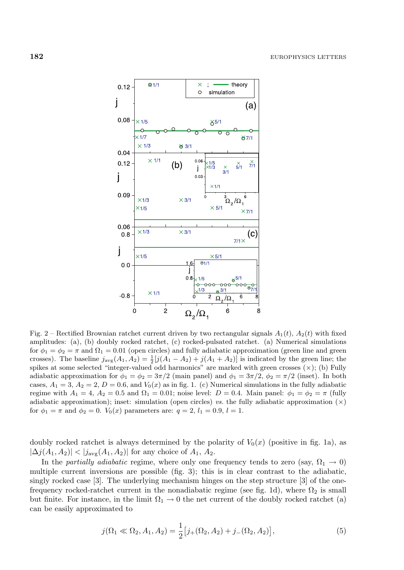

Fig. 2 – Rectified Brownian ratchet current driven by two rectangular signals  $A_1(t)$ ,  $A_2(t)$  with fixed amplitudes: (a), (b) doubly rocked ratchet, (c) rocked-pulsated ratchet. (a) Numerical simulations for  $\phi_1 = \phi_2 = \pi$  and  $\Omega_1 = 0.01$  (open circles) and fully adiabatic approximation (green line and green crosses). The baseline  $j_{avg}(A_1, A_2) = \frac{1}{2} [j(A_1 - A_2) + j(A_1 + A_2)]$  is indicated by the green line; the spikes at some selected "integer-valued odd harmonics" are marked with green crosses  $(\times)$ ; (b) Fully adiabatic approximation for  $\phi_1 = \phi_2 = 3\pi/2$  (main panel) and  $\phi_1 = 3\pi/2$ ,  $\phi_2 = \pi/2$  (inset). In both cases,  $A_1 = 3$ ,  $A_2 = 2$ ,  $D = 0.6$ , and  $V_0(x)$  as in fig. 1. (c) Numerical simulations in the fully adiabatic regime with  $A_1 = 4$ ,  $A_2 = 0.5$  and  $\Omega_1 = 0.01$ ; noise level:  $D = 0.4$ . Main panel:  $\phi_1 = \phi_2 = \pi$  (fully adiabatic approximation); inset: simulation (open circles) *vs.* the fully adiabatic approximation  $(\times)$ for  $\phi_1 = \pi$  and  $\phi_2 = 0$ .  $V_0(x)$  parameters are:  $q = 2$ ,  $l_1 = 0.9$ ,  $l = 1$ .

doubly rocked ratchet is always determined by the polarity of  $V_0(x)$  (positive in fig. 1a), as  $|\Delta j(A_1, A_2)| < |j_{\text{avg}}(A_1, A_2)|$  for any choice of  $A_1, A_2$ .

In the *partially adiabatic* regime, where only one frequency tends to zero (say,  $\Omega_1 \rightarrow 0$ ) multiple current inversions are possible (fig. 3); this is in clear contrast to the adiabatic, singly rocked case  $[3]$ . The underlying mechanism hinges on the step structure  $[3]$  of the onefrequency rocked-ratchet current in the nonadiabatic regime (see fig. 1d), where  $\Omega_2$  is small but finite. For instance, in the limit  $\Omega_1 \to 0$  the net current of the doubly rocked ratchet (a) can be easily approximated to

$$
j(\Omega_1 \ll \Omega_2, A_1, A_2) = \frac{1}{2} [j_+(\Omega_2, A_2) + j_-(\Omega_2, A_2)],
$$
\n(5)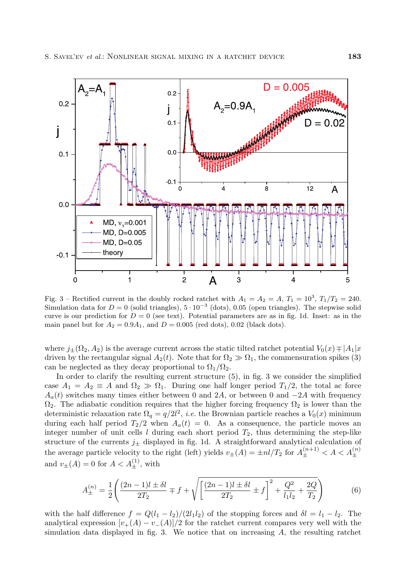

Fig. 3 – Rectified current in the doubly rocked ratchet with  $A_1 = A_2 = A$ ,  $T_1 = 10^3$ ,  $T_1/T_2 = 240$ . Simulation data for  $D = 0$  (solid triangles),  $5 \cdot 10^{-3}$  (dots), 0.05 (open triangles). The stepwise solid curve is our prediction for  $D = 0$  (see text). Potential parameters are as in fig. 1d. Inset: as in the main panel but for  $A_2 = 0.9A_1$ , and  $D = 0.005$  (red dots), 0.02 (black dots).

where  $j_{\pm}(\Omega_2, A_2)$  is the average current across the static tilted ratchet potential  $V_0(x) \neq |A_1|x$ driven by the rectangular signal  $A_2(t)$ . Note that for  $\Omega_2 \gg \Omega_1$ , the commensuration spikes (3) can be neglected as they decay proportional to  $\Omega_1/\Omega_2$ .

In order to clarify the resulting current structure (5), in fig. 3 we consider the simplified case  $A_1 = A_2 \equiv A$  and  $\Omega_2 \gg \Omega_1$ . During one half longer period  $T_1/2$ , the total ac force  $A_a(t)$  switches many times either between 0 and 2A, or between 0 and  $-2A$  with frequency  $\Omega_2$ . The adiabatic condition requires that the higher forcing frequency  $\Omega_2$  is lower than the deterministic relaxation rate  $\Omega_q = q/2l^2$ , *i.e.* the Brownian particle reaches a  $V_0(x)$  minimum<br>during sach half namied  $T_0/2$  when  $A_1(t) = 0$ . As a separature the particle marks and during each half period  $T_2/2$  when  $A_a(t) = 0$ . As a consequence, the particle moves an integer number of unit cells  $l$  during each short period  $T_2$ , thus determining the step-like structure of the currents  $j_{\pm}$  displayed in fig. 1d. A straightforward analytical calculation of the average particle velocity to the right (left) yields  $v_{\pm}(A) = \pm nl/T_2$  for  $A_{\pm}^{(n+1)} < A < A_{\pm}^{(n)}$ and  $v_{\pm}(A) = 0$  for  $A < A_{\pm}^{(1)}$ , with

$$
A_{\pm}^{(n)} = \frac{1}{2} \left( \frac{(2n-1)l \pm \delta l}{2T_2} \mp f + \sqrt{\left[ \frac{(2n-1)l \pm \delta l}{2T_2} \pm f \right]^2 + \frac{Q^2}{l_1 l_2} + \frac{2Q}{T_2}} \right) \tag{6}
$$

with the half difference  $f = Q(l_1 - l_2)/(2l_1l_2)$  of the stopping forces and  $\delta l = l_1 - l_2$ . The analytical expression  $[v_{+}(A) - v_{-}(A)]/2$  for the ratchet current compares very well with the simulation data displayed in fig. 3. We notice that on increasing  $A$ , the resulting ratchet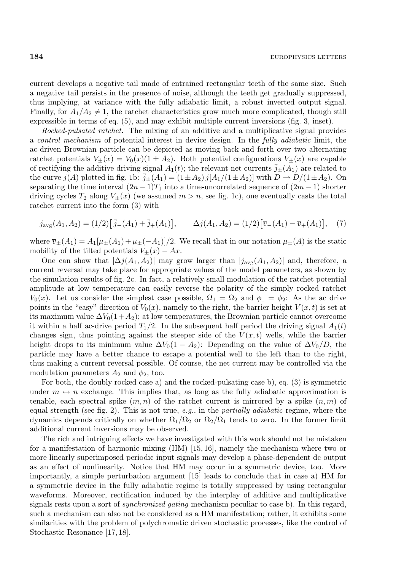current develops a negative tail made of entrained rectangular teeth of the same size. Such a negative tail persists in the presence of noise, although the teeth get gradually suppressed, thus implying, at variance with the fully adiabatic limit, a robust inverted output signal. Finally, for  $A_1/A_2 \neq 1$ , the ratchet characteristics grow much more complicated, though still expressible in terms of eq.  $(5)$ , and may exhibit multiple current inversions (fig. 3, inset).

*Rocked-pulsated ratchet.* The mixing of an additive and a multiplicative signal provides a *control mechanism* of potential interest in device design. In the *fully adiabatic* limit, the ac-driven Brownian particle can be depicted as moving back and forth over two alternating ratchet potentials  $V_{\pm}(x) = V_0(x)(1 \pm A_2)$ . Both potential configurations  $V_{\pm}(x)$  are capable of rectifying the additive driving signal  $A_1(t)$ ; the relevant net currents  $\vec{j}_{\pm}(A_1)$  are related to the curve  $j(A)$  plotted in fig. 1b:  $\bar{j}_{\pm}(A_1) = (1 \pm A_2) j[A_1/(1 \pm A_2)]$  with  $D \rightarrow D/(1 \pm A_2)$ . On separating the time interval  $(2n-1)T_1$  into a time-uncorrelated sequence of  $(2m-1)$  shorter driving cycles  $T_2$  along  $V_{\pm}(x)$  (we assumed  $m>n$ , see fig. 1c), one eventually casts the total ratchet current into the form (3) with

$$
j_{\text{avg}}(A_1, A_2) = (1/2) [\bar{j}_{-}(A_1) + \bar{j}_{+}(A_1)], \qquad \Delta j(A_1, A_2) = (1/2) [\bar{v}_{-}(A_1) - \bar{v}_{+}(A_1)], \quad (7)
$$

where  $\overline{v}_{\pm}(A_1) = A_1[\mu_{\pm}(A_1) + \mu_{\pm}(-A_1)]/2$ . We recall that in our notation  $\mu_{\pm}(A)$  is the static mobility of the tilted potentials  $V_{\pm}(x) - Ax$ .

One can show that  $|\Delta j(A_1, A_2)|$  may grow larger than  $|j_{avg}(A_1, A_2)|$  and, therefore, a current reversal may take place for appropriate values of the model parameters, as shown by the simulation results offig. 2c. In fact, a relatively small modulation ofthe ratchet potential amplitude at low temperature can easily reverse the polarity of the simply rocked ratchet  $V_0(x)$ . Let us consider the simplest case possible,  $\Omega_1 = \Omega_2$  and  $\phi_1 = \phi_2$ : As the ac drive points in the "easy" direction of  $V_0(x)$ , namely to the right, the barrier height  $V(x, t)$  is set at its maximum value  $\Delta V_0(1+A_2)$ ; at low temperatures, the Brownian particle cannot overcome it within a half ac-drive period  $T_1/2$ . In the subsequent half period the driving signal  $A_1(t)$ changes sign, thus pointing against the steeper side of the  $V(x,t)$  wells, while the barrier height drops to its minimum value  $\Delta V_0(1 - A_2)$ : Depending on the value of  $\Delta V_0/D$ , the particle may have a better chance to escape a potential well to the left than to the right, thus making a current reversal possible. Of course, the net current may be controlled via the modulation parameters  $A_2$  and  $\phi_2$ , too.

For both, the doubly rocked case a) and the rocked-pulsating case b), eq. (3) is symmetric under  $m \leftrightarrow n$  exchange. This implies that, as long as the fully adiabatic approximation is tenable, each spectral spike  $(m, n)$  of the ratchet current is mirrored by a spike  $(n, m)$  of equal strength (see fig. 2). This is not true, *e.g.*, in the *partially adiabatic* regime, where the dynamics depends critically on whether  $\Omega_1/\Omega_2$  or  $\Omega_2/\Omega_1$  tends to zero. In the former limit additional current inversions may be observed.

The rich and intriguing effects we have investigated with this work should not be mistaken for a manifestation of harmonic mixing (HM) [15, 16], namely the mechanism where two or more linearly superimposed periodic input signals may develop a phase-dependent dc output as an effect of nonlinearity. Notice that HM may occur in a symmetric device, too. More importantly, a simple perturbation argument [15] leads to conclude that in case a) HM for a symmetric device in the fully adiabatic regime is totally suppressed by using rectangular waveforms. Moreover, rectification induced by the interplay of additive and multiplicative signals rests upon a sort of *synchronized gating* mechanism peculiar to case b). In this regard, such a mechanism can also not be considered as a HM manifestation; rather, it exhibits some similarities with the problem of polychromatic driven stochastic processes, like the control of Stochastic Resonance [17, 18].